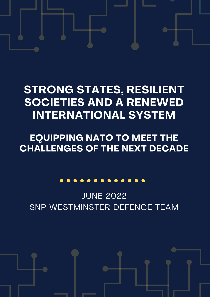# **STRONG STATES, RESILIENT SOCIETIES AND A RENEWED INTERNATIONAL SYSTEM**

# **EQUIPPING NATO TO MEET THE CHALLENGES OF THE NEXT DECADE**

# . . . . . . . . . . . .

JUNE 2022 SNP WESTMINSTER DEFENCE TEAM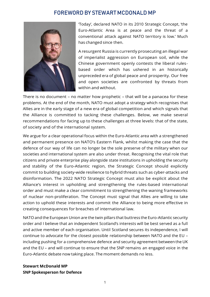### FOREWORD BY STEWART MCDONALD MP



'Today', declared NATO in its 2010 Strategic Concept, 'the Euro-Atlantic Area is at peace and the threat of a conventional attack against NATO territory is low.' Much has changed since then.

A resurgent Russia is currently prosecuting an illegal war of imperialist aggression on European soil, while the Chinese government openly contests the liberal rulesbased order which has ushered in an historically unpreceded era of global peace and prosperity. Our free and open societies are confronted by threats from within and without.

There is no document – no matter how prophetic – that will be a panacea for these problems. At the end of the month, NATO must adopt a strategy which recognises that Allies are in the early stage of a new era of global competition and which signals that the Alliance is committed to tacking these challenges. Below, we make several recommendations for facing up to these challenges at three levels: that of the state, of society and of the international system.

We argue for a clear operational focus within the Euro-Atlantic area with a strengthened and permanent presence on NATO's Eastern Flank, whilst making the case that the defence of our way of life can no longer be the sole preserve of the military when our societies and international system are also under threat. Recognising the vital role that citizens and private enterprise play alongside state institutions in upholding the security and stability of the Euro-Atlantic region, the Strategic Concept should explicitly commit to building society-wide resilience to hybrid threats such as cyber-attacks and disinformation. The 2022 NATO Strategic Concept must also be explicit about the Alliance's interest in upholding and strengthening the rules-based international order and must make a clear commitment to strengthening the waning frameworks of nuclear non-proliferation. The Concept must signal that Allies are willing to take action to uphold these interests and commit the Alliance to being more effective in creating consequences for breaches of international law.

NATO and the European Union are the twin pillars that buttress the Euro-Atlantic security order and I believe that an independent Scotland's interests will be best served as a full and active member of each organisation. Until Scotland secures its independence, I will continue to advocate for the closest possible relationship between NATO and the EU – including pushing for a comprehensive defence and security agreement between the UK and the EU – and will continue to ensure that the SNP remains an engaged voice in the Euro-Atlantic debate now taking place. The moment demands no less.

#### **Stewart McDonald MP SNP Spokesperson for Defence**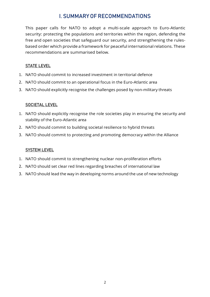# I. SUMMARY OF RECOMMENDATIONS

This paper calls for NATO to adopt a multi-scale approach to Euro-Atlantic security: protecting the populations and territories within the region, defending the free and open societies that safeguard our security, and strengthening the rulesbased order which provide a framework for peaceful international relations. These recommendations are summarised below.

#### STATE LEVEL

- 1. NATO should commit to increased investment in territorial defence
- 2. NATO should commit to an operational focus in the Euro-Atlantic area
- 3. NATO should explicitly recognise the challenges posed by non-military threats

#### SOCIETAL LEVEL

- 1. NATO should explicitly recognise the role societies play in ensuring the security and stability of the Euro-Atlantic area
- 2. NATO should commit to building societal resilience to hybrid threats
- 3. NATO should commit to protecting and promoting democracy within the Alliance

#### **SYSTEM LEVEL**

- 1. NATO should commit to strengthening nuclear non-proliferation efforts
- 2. NATO should set clear red lines regarding breaches of international law
- 3. NATO should lead the way in developing norms around the use of new technology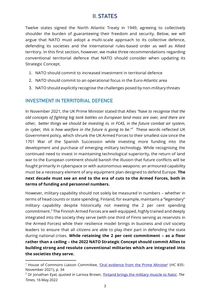# II. STATES

Twelve states signed the North Atlantic Treaty in 1949, agreeing to collectively shoulder the burden of guaranteeing their freedom and security. Below, we will argue that NATO must adopt a multi-scale approach to its collective defence, defending its societies and the international rules-based order as well as Allied territory. In this first section, however, we make three recommendations regarding conventional territorial defence that NATO should consider when updating its Strategic Concept.

- 1. NATO should commit to increased investment in territorial defence
- 2. NATO should commit to an operational focus in the Euro-Atlantic area
- 3. NATO should explicitly recognise the challenges posed by non-military threats

#### INVESTMENT IN TERRITORIAL DEFENCE

In November 2021, the UK Prime Minister stated that Allies *"have to recognise that the old concepts of fighting big tank battles on European land mass are over, and there are other, better things we should be investing in, in FCAS, in the future combat air system, in cyber, this is how warfare in the future is going to be."<sup>1</sup>* These words reflected UK Government policy, which shrunk the UK Armed Forces to their smallest size since the 1701 War of the Spanish Succession while investing more funding into the development and purchase of emerging military technology. While recognising the continued need to invest in maintaining technological superiority, the return of land war to the European continent should banish the illusion that future conflicts will be fought primarily in cyberspace or with autonomous weapons: an armoured capability must be a necessary element of any equipment plan designed to defend Europe. **The next decade must see an end to the era of cuts to the Armed Forces, both in terms of funding and personnel numbers.**

However, military capability should not solely be measured in numbers – whether in terms of head counts or state spending. Finland, for example, maintains a "legendary" military capability despite historically not meeting the 2 per cent spending commitment.<sup>2</sup> The Finnish Armed Forces are well-equipped, highly trained and deeply integrated into the society they serve (with one third of Finns serving as reservists in the Armed Forces) while their resilience model brings in business and civil society leaders to ensure that all citizens are able to play their part in defending the state during national crises. **While retaining the 2 per cent commitment – as a floor rather than a ceiling – the 2022 NATO Strategic Concept should commit Allies to building strong and resolute conventional militaries which are integrated into the societies they serve.**

<sup>&</sup>lt;sup>1</sup> House of Commons Liaison Committee, 'Oral [evidence](https://committees.parliament.uk/oralevidence/3007/default/) from the Prime Minister' (HC 835: November 2021), p. 34

<sup>2</sup> Dr Jonathan Eyal, quoted in Larissa Brown, ['Finland](file:///C:/Users/stewartmcdonald/Desktop/Defence/thetimes.co.uk/article/finland-brings-the-military-muscle-to-nato-g38bgxspm) brings the military muscle to Nato', *The Times,* 16 May 2022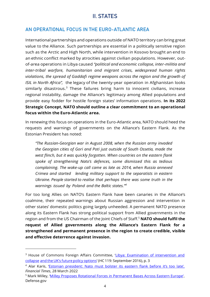# II. STATES

### AN OPERATIONAL FOCUS IN THE EURO-ATLANTIC AREA

International partnerships and operations outside of NATO territory can bring great value to the Alliance. Such partnerships are essential in a politically sensitive region such as the Arctic and High North, while intervention in Kosovo brought an end to an ethnic conflict marked by atrocities against civilian populations. However, outof-area operations in Libya caused *"political and economic collapse, inter-militia and inter-tribal warfare, humanitarian and migrant crises, widespread human rights violations, the spread of Gaddafi regime weapons across the region and the growth of ISIL in North Africa",* the legacy of the twenty-year operation in Afghanistan looks similarly disastrous.<sup>3</sup> These failures bring harm to innocent civilians, increase regional instability, damage the Alliance's legitimacy among Allied populations and provide easy fodder for hostile foreign states' information operations. **In its 2022 Strategic Concept, NATO should outline a clear commitment to an operational focus within the Euro-Atlantic area.**

In renewing this focus on operations in the Euro-Atlantic area, NATO should heed the requests and warnings of governments on the Alliance's Eastern Flank. As the Estonian President has noted:

*"The Russian-Georgian war in August 2008, when the Russian army invaded the Georgian cities of Gori and Poti just outside of South Ossetia, made the west flinch, but it was quickly forgotten. When countries on the eastern flank spoke of strengthening Nato's defences, some dismissed this as tedious complaining. The wake-up call came as late as 2014, when Russia annexed Crimea and started lending military support to the separatists in eastern Ukraine. People started to realise that perhaps there was some truth in the warnings issued by Poland and the Baltic states."<sup>4</sup>*

For too long Allies on NATO's Eastern Flank have been canaries in the Alliance's coalmine, their repeated warnings about Russian aggression and intervention in other states' domestic politics going largely unheeded. A permanent NATO presence along its Eastern Flank has strong political support from Allied governments in the region and from the US Chairman of the Joint Chiefs of Staff. <sup>5</sup> **NATO should fulfil the request of Allied governments along the Alliance's Eastern Flank for a strengthened and permanent presence in the region to create credible, visible and effective deterrence against invasion.**

<sup>&</sup>lt;sup>3</sup> House of Commons Foreign Affairs Committee, 'Libya: [Examination](https://publications.parliament.uk/pa/cm201617/cmselect/cmfaff/119/119.pdf) of intervention and [collapse](https://publications.parliament.uk/pa/cm201617/cmselect/cmfaff/119/119.pdf) and the UK's future policy [options](https://publications.parliament.uk/pa/cm201617/cmselect/cmfaff/119/119.pdf)' (HC 119: September 2016), p. 3

<sup>&</sup>lt;sup>4</sup> Alar Karis, 'Estonian [president:](https://www.ft.com/content/30d0f1fa-593e-4254-9e4e-e9de9e280b73) Nato must bolster its eastern flank before it's too late', *Financial Times*, 28 March 2022

<sup>&</sup>lt;sup>5</sup> Mark Milley, 'Milley Proposes Rotational Forces in [Permanent](https://www.defense.gov/News/News-Stories/Article/Article/2990320/milley-proposes-rotational-forces-in-permanent-bases-across-eastern-europe/) Bases Across Eastern Europe', Defense.gov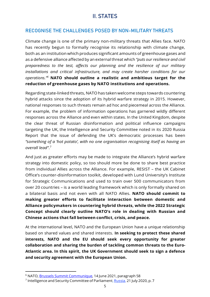# II. STATES

#### RECOGNISE THE CHALLENGES POSED BY NON-MILITARY THREATS

Climate change is one of the primary non-military threats that Allies face. NATO has recently begun to formally recognise its relationship with climate change, both as an institution which produces significant amounts of greenhouse gases and as a defensive alliance affected by an externalthreat which *"puts our resilience and civil preparedness to the test, affects our planning and the resilience of our military installations and critical infrastructure, and may create harsher conditions for our operations."<sup>6</sup>* **NATO should outline a realistic and ambitious target for the reduction of greenhouse gases by NATO institutions and operations.**

Regarding state-linked threats, NATO has taken welcome steps towards countering hybrid attacks since the adoption of its hybrid warfare strategy in 2015. However, national responses to such threats remain ad hoc and piecemeal across the Alliance. For example, the problem of information operations has garnered wildly different responses across the Alliance and even within states. In the United Kingdom, despite the clear threat of Russian disinformation and political influence campaigns targeting the UK, the Intelligence and Security Committee noted in its 2020 Russia Report that the issue of defending the UK's democratic processes has been *"something of a 'hot potato', with no one organisation recognising itself as having an overall lead"*. 7

And just as greater efforts may be made to integrate the Alliance's hybrid warfare strategy into domestic policy, so too should more be done to share best practice from individual Allies across the Alliance. For example, RESIST – the UK Cabinet Office's counter-disinformation toolkit, developed with Lund University's Institute for Strategic Communications and used to train over 500 communicators from over 20 countries – is a world leading framework which is only formally shared on a bilateral basis and not even with all NATO Allies. **NATO should commit to making greater efforts to facilitate interaction between domestic and Alliance policymakers in countering hybrid threats, while the 2022 Strategic Concept should clearly outline NATO's role in dealing with Russian and Chinese actions that fall between conflict, crisis, and peace.**

At the international level, NATO and the European Union have a unique relationship based on shared values and shared interests. **In seeking to protect these shared interests, NATO and the EU should seek every opportunity for greater collaboration and sharing the burden of tackling common threats to the Euro-Atlantic area. In this spirit, the UK Government should seek to sign a defence and security agreement with the European Union.**

<sup>6</sup> NATO, Brussels Summit [Communique,](https://www.nato.int/cps/en/natolive/news_185000.htm?selectedLocale=en) 14 June 2021, paragraph 58

<sup>&</sup>lt;sup>7</sup> Intelligence and Security Committee of Parliament, [Russia,](https://isc.independent.gov.uk/wp-content/uploads/2021/03/CCS207_CCS0221966010-001_Russia-Report-v02-Web_Accessible.pdf) 21 July 2020, p. 7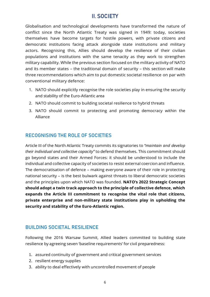# II. SOCIETY

Globalisation and technological developments have transformed the nature of conflict since the North Atlantic Treaty was signed in 1949: today, societies themselves have become targets for hostile powers, with private citizens and democratic institutions facing attack alongside state institutions and military actors. Recognising this, Allies should develop the resilience of their civilian populations and institutions with the same tenacity as they work to strengthen military capability. While the previous section focused on the military activity of NATO and its member states – the traditional domain of security – this section will make three recommendations which aim to put domestic societal resilience on par with conventional military defence:

- 1. NATO should explicitly recognise the role societies play in ensuring the security and stability of the Euro-Atlantic area
- 2. NATO should commit to building societal resilience to hybrid threats
- 3. NATO should commit to protecting and promoting democracy within the Alliance

# RECOGNISING THE ROLE OF SOCIETIES

Article III of the North Atlantic Treaty commits its signatories to *"maintain and develop their individual and collective capacity"* to defend themselves. This commitment should go beyond states and their Armed Forces: it should be understood to include the individual and collective capacity of societies to resist external coercion and influence. The democratisation of defence – making everyone aware of their role in protecting national security – is the best bulwark against threats to liberal democratic societies and the principles upon which NATO was founded. **NATO's 2022 Strategic Concept should adopt a twin track approach to the principle of collective defence, which expands the Article III commitment to recognise the vital role that citizens, private enterprise and non-military state institutions play in upholding the security and stability of the Euro-Atlantic region.**

# BUILDING SOCIETAL RESILIENCE

Following the 2016 Warsaw Summit, Allied leaders committed to building state resilience by agreeing seven 'baseline requirements' for civil preparedness:

- 1. assured continuity of government and critical government services
- 2. resilient energy supplies
- 3. ability to deal effectively with uncontrolled movement of people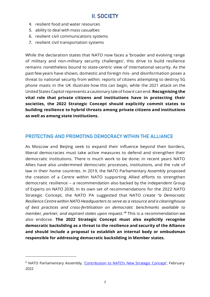- 4. resilient food and water resources
- 5. ability to deal with mass casualties
- 6. resilient civil communications systems
- 7. resilient civil transportation systems

While the declaration states that NATO now faces a 'broader and evolving range of military and non-military security challenges', this drive to build resilience remains nonetheless bound to state-centric view of international security. As the past few years have shown, domestic and foreign mis- and disinformation poses a threat to national security from within: reports of citizens attempting to destroy 5G phone masts in the UK illustrate how this can begin, while the 2021 attack on the UnitedStates Capitol represents a cautionary taleof howit canend.**Recognising the vital role that private citizens and institutions have in protecting their societies, the 2022 Strategic Concept should explicitly commit states to building resilience to hybrid threats among private citizens and institutions as well as among state institutions.**

#### PROTECTING AND PROMOTING DEMOCRACY WITHIN THE ALLIANCE

As Moscow and Beijing seek to expand their influence beyond their borders, liberal democracies must take active measures to defend and strengthen their democratic institutions. There is much work to be done: in recent years NATO Allies have also undermined democratic processes, institutions, and the rule of law in their home countries. In 2019, the NATO Parliamentary Assembly proposed the creation of a Centre within NATO supporting Allied efforts to strengthen democratic resilience – a recommendation also backed by the independent Group of Experts on NATO 2030. In its own set of recommendations for the 2022 NATO Strategic Concept, the NATO PA suggested that NATO create *"a Democratic Resilience Centre within NATO Headquarters to serve as a resource and a clearinghouse of best practices and cross-fertilisation on democratic benchmarks available to member, partner, and aspirant states upon request."<sup>8</sup>* This is a recommendation we also endorse. **The 2022 Strategic Concept must also explicitly recognise democratic backsliding as a threat to the resilience and security of the Alliance and should include a proposal to establish an internal body or ombudsman responsible for addressing democratic backsliding in Member states.**

<sup>&</sup>lt;sup>8</sup> NATO Parliamentary Assembly, ['Contribution](https://www.nato-pa.int/content/contribution-natos-new-strategic-concept#%3A~%3Atext%3DThe%202022%20Strategic%20Concept%20must%2Cof%20a%20Democratic%20Resilience%20Centre.%26text%3DThe%20NATO%20PA%27s%20contribution%20urges%2CResilience%20Centre%20within%20NATO%20Headquarters) to NATO's New Strategic Concept', February 2022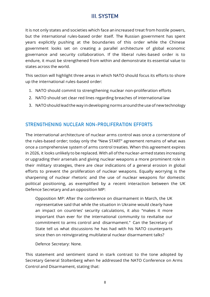# III. SYSTEM

It is not only states and societies which face an increased treat from hostile powers, but the international rules-based order itself. The Russian government has spent years explicitly pushing at the boundaries of this order while the Chinese government looks set on creating a parallel architecture of global economic governance and security collaboration. If the liberal rules-based order is to endure, it must be strengthened from within and demonstrate its essential value to states across the world.

This section will highlight three areas in which NATO should focus its efforts to shore up the international rules-based order:

- 1. NATO should commit to strengthening nuclear non-proliferation efforts
- 2. NATO should set clear red lines regarding breaches of international law
- 3. NATOshould lead the way indeveloping norms around the use of newtechnology

#### STRENGTHENING NUCLEAR NON-PROLIFERATION EFFORTS

The international architecture of nuclear arms control was once a cornerstone of the rules-based order; today only the "New START" agreement remains of what was once a comprehensive system of arms control treaties. When this agreement expires in 2026, it looks unlikely to be replaced. With all ofthe nuclear-armed states increasing or upgrading their arsenals and giving nuclear weapons a more prominent role in their military strategies, there are clear indications of a general erosion in global efforts to prevent the proliferation of nuclear weapons. Equally worrying is the sharpening of nuclear rhetoric and the use of nuclear weapons for domestic political positioning, as exemplified by a recent interaction between the UK Defence Secretary and an opposition MP:

Opposition MP: After the conference on disarmament in March, the UK representative said that while the situation in Ukraine would clearly have an impact on countries' security calculations, it also "makes it more important than ever for the international community to revitalise our commitment to arms control and disarmament." Can the Secretary of State tell us what discussions he has had with his NATO counterparts since then on reinvigorating multilateral nuclear disarmament talks?

Defence Secretary: None.

This statement and sentiment stand in stark contrast to the tone adopted by Secretary General Stoltenberg when he addressed the NATO Conference on Arms Control and Disarmament, stating that: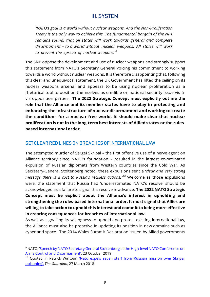# III. SYSTEM

*"NATO's goal is a world without nuclear weapons. And the Non-Proliferation Treaty is the only way to achieve this. The fundamental bargain of the NPT remains sound: that all states will work towards general and complete disarmament – to a world without nuclear weapons. All states will work to prevent the spread of nuclear weapons."<sup>9</sup>*

The SNP oppose the development and use of nuclear weapons and strongly support this statement from NATO's Secretary General voicing his commitment to working towards a world without nuclear weapons. It is therefore disappointing that, following this clear and unequivocal statement, the UK Government has lifted the ceiling on its nuclear weapons arsenal and appears to be using nuclear proliferation as a rhetorical tool to position themselves as credible on national security issue vis-àvis opposition parties. **The 2022 Strategic Concept must explicitly outline the role that the Alliance and its member states have to play in protecting and enhancing the infrastructure of nuclear disarmament and working to create the conditions for a nuclear-free world. It should make clear that nuclear proliferation is not in the long-term best interests of Allied states or the rulesbased international order.**

#### SETCLEAR RED LINESON BREACHES OF INTERNATIONAL LAW

The attempted murder of Sergei Skripal – the first offensive use of a nerve agent on Alliance territory since NATO's foundation – resulted in the largest co-ordinated expulsion of Russian diplomats from Western countries since the Cold War. As Secretary-General Stoltenberg noted, these expulsions sent a '*clear and very strong message there is a cost to Russia's reckless actions." <sup>10</sup>* Welcome as those expulsions were, the statement that Russia had 'underestimated NATO's resolve' should be acknowledged as a failure to signal this resolve in advance. **The 2022 NATO Strategic Concept must be explicit about the Alliance's interest in upholding and strengthening the rules-based international order. It must signal that Allies are willing to take action to uphold this interest and commit to being more effective in creating consequences for breaches of international law.**

As well as signalling its willingness to uphold and protect existing international law, the Alliance must also be proactive in updating its position in new domains such as cyber and space. The 2014 Wales Summit Declaration issued by Allied governments

<sup>&</sup>lt;sup>9</sup> NATO, 'Speech by NATO Secretary General [Stoltenberg](https://www.nato.int/cps/en/natohq/opinions_169930.htm) at the High-level NATO Conference on [Arms Control and Disarmament](https://www.nato.int/cps/en/natohq/opinions_169930.htm)', 23 October 2019

<sup>&</sup>lt;sup>10</sup> Quoted in Patrick Wintour, 'Nato expels seven staff from Russian [mission](https://www.theguardian.com/uk-news/2018/mar/27/russia-to-respond-harshly-to-us-expulsion-of-diplomats) over Skripal [poisoning',](https://www.theguardian.com/uk-news/2018/mar/27/russia-to-respond-harshly-to-us-expulsion-of-diplomats) *The Guardian*, 27 March 2018